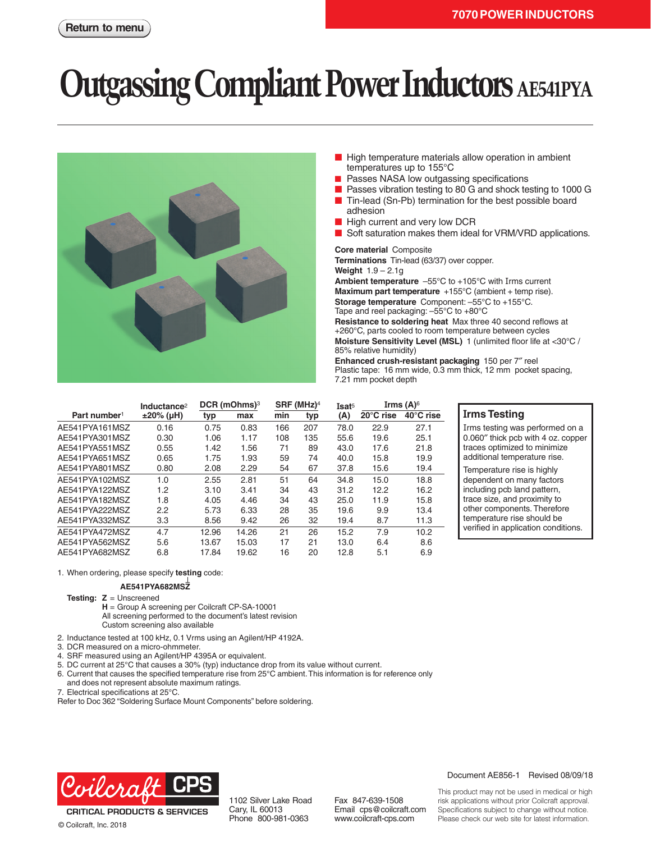# **Utgassing Compliant Power Inductors AE541PYA**



- High temperature materials allow operation in ambient temperatures up to 155°C
- Passes NASA low outgassing specifications
- Passes vibration testing to 80 G and shock testing to 1000 G
- Tin-lead (Sn-Pb) termination for the best possible board adhesion
- High current and very low DCR
- Soft saturation makes them ideal for VRM/VRD applications.

**Core material** Composite

**Terminations** Tin-lead (63/37) over copper.

**Weight** 1.9 – 2.1g **Ambient temperature** –55°C to +105°C with Irms current **Maximum part temperature** +155°C (ambient + temp rise).

**Storage temperature** Component: –55°C to +155°C.

Tape and reel packaging: –55°C to +80°C

**Resistance to soldering heat** Max three 40 second reflows at +260°C, parts cooled to room temperature between cycles **Moisture Sensitivity Level (MSL)** 1 (unlimited floor life at <30°C / 85% relative humidity)

**Enhanced crush-resistant packaging** 150 per 7″ reel Plastic tape: 16 mm wide, 0.3 mm thick, 12 mm pocket spacing, 7.21 mm pocket depth

|                          | Inductance <sup>2</sup> | DCR (mOhms) <sup>3</sup> |       | SRF (MHz) <sup>4</sup> |     | Isat <sup>5</sup> | Irms $(A)$ <sup>6</sup> |           |
|--------------------------|-------------------------|--------------------------|-------|------------------------|-----|-------------------|-------------------------|-----------|
| Part number <sup>1</sup> | $±20\%$ (µH)            | typ                      | max   | min                    | typ | (A)               | 20°C rise               | 40°C rise |
| AE541PYA161MSZ           | 0.16                    | 0.75                     | 0.83  | 166                    | 207 | 78.0              | 22.9                    | 27.1      |
| AE541PYA301MSZ           | 0.30                    | 1.06                     | 1.17  | 108                    | 135 | 55.6              | 19.6                    | 25.1      |
| AE541PYA551MSZ           | 0.55                    | 1.42                     | 1.56  | 71                     | 89  | 43.0              | 17.6                    | 21.8      |
| AE541PYA651MSZ           | 0.65                    | 1.75                     | 1.93  | 59                     | 74  | 40.0              | 15.8                    | 19.9      |
| AE541PYA801MSZ           | 0.80                    | 2.08                     | 2.29  | 54                     | 67  | 37.8              | 15.6                    | 19.4      |
| AE541PYA102MSZ           | 1.0                     | 2.55                     | 2.81  | 51                     | 64  | 34.8              | 15.0                    | 18.8      |
| AE541PYA122MSZ           | 1.2                     | 3.10                     | 3.41  | 34                     | 43  | 31.2              | 12.2                    | 16.2      |
| AE541PYA182MSZ           | 1.8                     | 4.05                     | 4.46  | 34                     | 43  | 25.0              | 11.9                    | 15.8      |
| AE541PYA222MSZ           | 2.2                     | 5.73                     | 6.33  | 28                     | 35  | 19.6              | 9.9                     | 13.4      |
| AE541PYA332MSZ           | 3.3                     | 8.56                     | 9.42  | 26                     | 32  | 19.4              | 8.7                     | 11.3      |
| AE541PYA472MSZ           | 4.7                     | 12.96                    | 14.26 | 21                     | 26  | 15.2              | 7.9                     | 10.2      |
| AE541PYA562MSZ           | 5.6                     | 13.67                    | 15.03 | 17                     | 21  | 13.0              | 6.4                     | 8.6       |
| AE541PYA682MSZ           | 6.8                     | 17.84                    | 19.62 | 16                     | 20  | 12.8              | 5.1                     | 6.9       |

#### **Irms Testing**

Irms testing was performed on a 0.060″ thick pcb with 4 oz. copper traces optimized to minimize additional temperature rise.

Temperature rise is highly dependent on many factors including pcb land pattern, trace size, and proximity to other components. Therefore temperature rise should be verified in application conditions.

1. When ordering, please specify **testing** code:

#### **AE541PYA682MSZ**

**Testing: Z** = Unscreened

**H** = Group A screening per Coilcraft CP-SA-10001 All screening performed to the document's latest revision Custom screening also available

- 2. Inductance tested at 100 kHz, 0.1 Vrms using an Agilent/HP 4192A.
- 3. DCR measured on a micro-ohmmeter.
- 4. SRF measured using an Agilent/HP 4395A or equivalent.
- 5. DC current at 25°C that causes a 30% (typ) inductance drop from its value without current.
- 6. Current that causes the specified temperature rise from 25°C ambient. This information is for reference only and does not represent absolute maximum ratings.
- 7. Electrical specifications at 25°C.

Refer to Doc 362 "Soldering Surface Mount Components" before soldering.



**CRITICAL PRODUCTS & SERVICES** 

1102 Silver Lake Road Cary, IL 60013 Phone 800-981-0363

Fax 847-639-1508 Email cps@coilcraft.com www.coilcraft-cps.com

#### Document AE856-1 Revised 08/09/18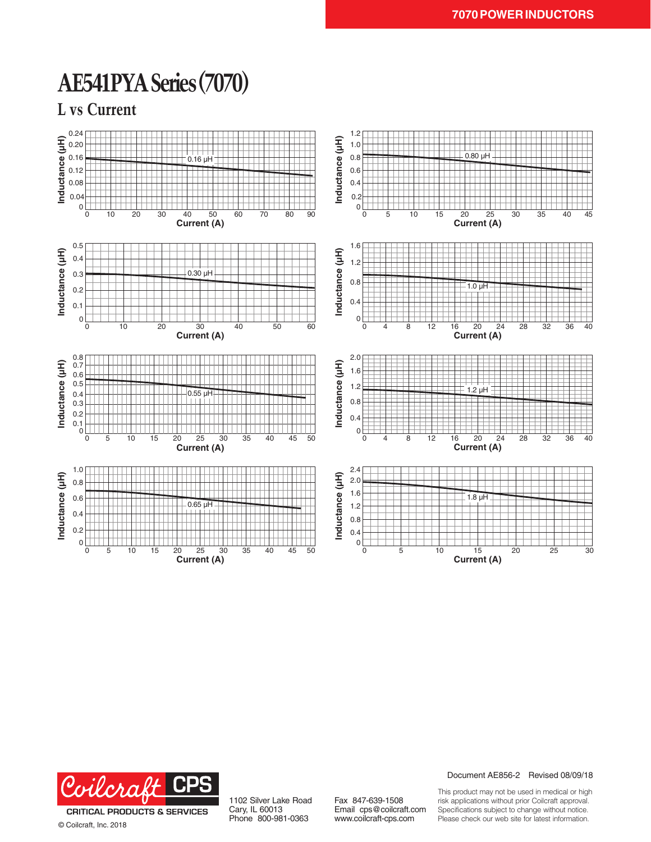### **AE541PYA Series (7070)**

**L vs Current**





© Coilcraft, Inc. 2018

1102 Silver Lake Road Cary, IL 60013 Phone 800-981-0363

Fax 847-639-1508 Email cps@coilcraft.com www.coilcraft-cps.com

Document AE856-2 Revised 08/09/18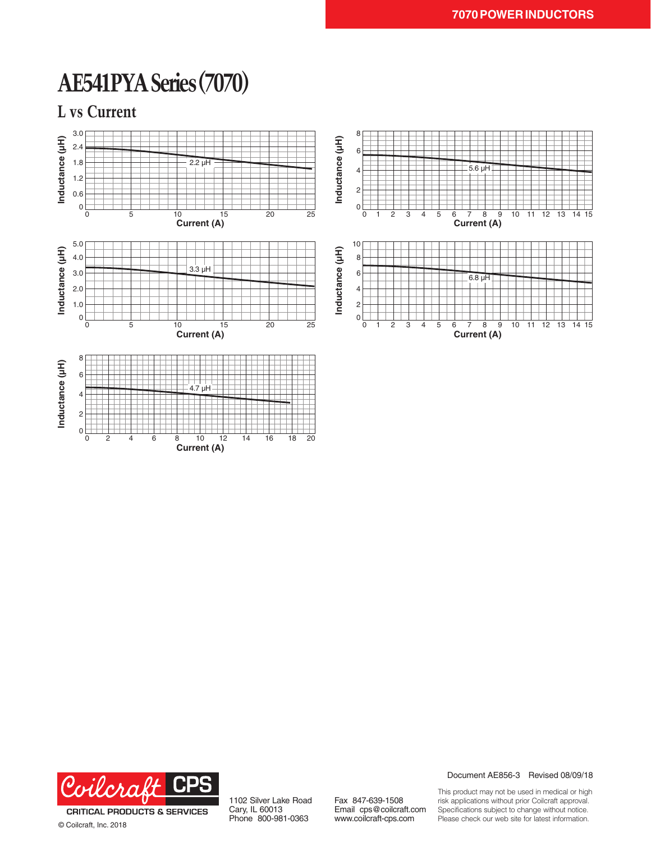### **AE541PYA Series (7070)**

**L vs Current**





© Coilcraft, Inc. 2018

1102 Silver Lake Road Cary, IL 60013 Phone 800-981-0363

Fax 847-639-1508 Email cps@coilcraft.com www.coilcraft-cps.com

Document AE856-3 Revised 08/09/18